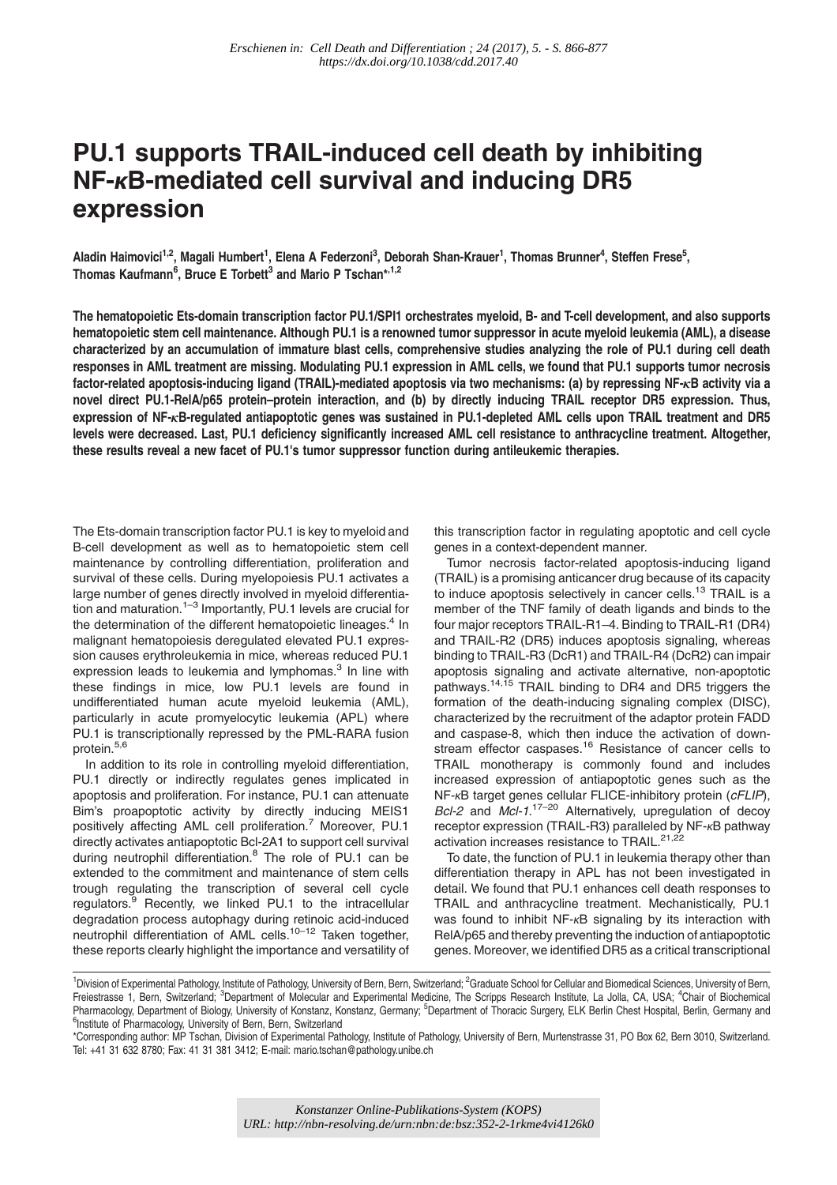# PU.1 supports TRAIL-induced cell death by inhibiting NF-κB-mediated cell survival and inducing DR5 expression

Aladin Haimovici<sup>1,2</sup>, Magali Humbert<sup>1</sup>, Elena A Federzoni<sup>3</sup>, Deborah Shan-Krauer<sup>1</sup>, Thomas Brunner<sup>4</sup>, Steffen Frese<sup>5</sup>, Thomas Kaufmann<sup>6</sup>, Bruce E Torbett<sup>3</sup> and Mario P Tschan\*<sup>,1,2</sup>

The hematopoietic Ets-domain transcription factor PU.1/SPI1 orchestrates myeloid, B- and T-cell development, and also supports hematopoietic stem cell maintenance. Although PU.1 is a renowned tumor suppressor in acute myeloid leukemia (AML), a disease characterized by an accumulation of immature blast cells, comprehensive studies analyzing the role of PU.1 during cell death responses in AML treatment are missing. Modulating PU.1 expression in AML cells, we found that PU.1 supports tumor necrosis factor-related apoptosis-inducing ligand (TRAIL)-mediated apoptosis via two mechanisms: (a) by repressing NF-κB activity via a novel direct PU.1-RelA/p65 protein–protein interaction, and (b) by directly inducing TRAIL receptor DR5 expression. Thus, expression of NF-κB-regulated antiapoptotic genes was sustained in PU.1-depleted AML cells upon TRAIL treatment and DR5 levels were decreased. Last, PU.1 deficiency significantly increased AML cell resistance to anthracycline treatment. Altogether, these results reveal a new facet of PU.1's tumor suppressor function during antileukemic therapies.

The Ets-domain transcription factor PU.1 is key to myeloid and B-cell development as well as to hematopoietic stem cell maintenance by controlling differentiation, proliferation and survival of these cells. During myelopoiesis PU.1 activates a large number of genes directly involved in myeloid differentiation and maturation.<sup>1–3</sup> Importantly, PU.1 levels are crucial for the determination of the different hematopoietic lineages.<sup>4</sup> In malignant hematopoiesis deregulated elevated PU.1 expression causes erythroleukemia in mice, whereas reduced PU.1 expression leads to leukemia and lymphomas.<sup>3</sup> In line with these findings in mice, low PU.1 levels are found in undifferentiated human acute myeloid leukemia (AML), particularly in acute promyelocytic leukemia (APL) where PU.1 is transcriptionally repressed by the PML-RARA fusion protein.<sup>5,6</sup>

In addition to its role in controlling myeloid differentiation, PU.1 directly or indirectly regulates genes implicated in apoptosis and proliferation. For instance, PU.1 can attenuate Bim's proapoptotic activity by directly inducing MEIS1 positively affecting AML cell proliferation.<sup>7</sup> Moreover, PU.1 directly activates antiapoptotic Bcl-2A1 to support cell survival during neutrophil differentiation. $8$  The role of PU.1 can be extended to the commitment and maintenance of stem cells trough regulating the transcription of several cell cycle regulators.<sup>9</sup> Recently, we linked PU.1 to the intracellular degradation process autophagy during retinoic acid-induced neutrophil differentiation of AML cells.<sup>10–12</sup> Taken together, these reports clearly highlight the importance and versatility of this transcription factor in regulating apoptotic and cell cycle genes in a context-dependent manner.

Tumor necrosis factor-related apoptosis-inducing ligand (TRAIL) is a promising anticancer drug because of its capacity to induce apoptosis selectively in cancer cells.<sup>13</sup> TRAIL is a member of the TNF family of death ligands and binds to the four major receptors TRAIL-R1–4. Binding to TRAIL-R1 (DR4) and TRAIL-R2 (DR5) induces apoptosis signaling, whereas binding to TRAIL-R3 (DcR1) and TRAIL-R4 (DcR2) can impair apoptosis signaling and activate alternative, non-apoptotic pathways.<sup>14,15</sup> TRAIL binding to DR4 and DR5 triggers the formation of the death-inducing signaling complex (DISC), characterized by the recruitment of the adaptor protein FADD and caspase-8, which then induce the activation of downstream effector caspases.<sup>16</sup> Resistance of cancer cells to TRAIL monotherapy is commonly found and includes increased expression of antiapoptotic genes such as the NF-κB target genes cellular FLICE-inhibitory protein (cFLIP), Bcl-2 and Mcl-1.<sup>17-20</sup> Alternatively, upregulation of decoy receptor expression (TRAIL-R3) paralleled by NF-κB pathway activation increases resistance to TRAIL.<sup>21,22</sup>

To date, the function of PU.1 in leukemia therapy other than differentiation therapy in APL has not been investigated in detail. We found that PU.1 enhances cell death responses to TRAIL and anthracycline treatment. Mechanistically, PU.1 was found to inhibit NF-κB signaling by its interaction with RelA/p65 and thereby preventing the induction of antiapoptotic genes. Moreover, we identified DR5 as a critical transcriptional

<sup>&</sup>lt;sup>1</sup>Division of Experimental Pathology, Institute of Pathology, University of Bern, Bern, Switzerland; <sup>2</sup>Graduate School for Cellular and Biomedical Sciences, University of Bern, Freiestrasse 1, Bern, Switzerland; <sup>3</sup>Department of Molecular and Experimental Medicine, The Scripps Research Institute, La Jolla, CA, USA; <sup>4</sup>Chair of Biochemical Pharmacology, Department of Biology, University of Konstanz, Konstanz, Germany; <sup>5</sup>Department of Thoracic Surgery, ELK Berlin Chest Hospital, Berlin, Germany and<br><sup>6</sup>Institute of Pharmacology, University of Bern, Bern, Swit <sup>6</sup>Institute of Pharmacology, University of Bern, Bern, Switzerland

<sup>\*</sup>Corresponding author: MP Tschan, Division of Experimental Pathology, Institute of Pathology, University of Bern, Murtenstrasse 31, PO Box 62, Bern 3010, Switzerland. Tel: +41 31 632 8780; Fax: 41 31 381 3412; E-mail: mario.tschan@pathology.unibe.ch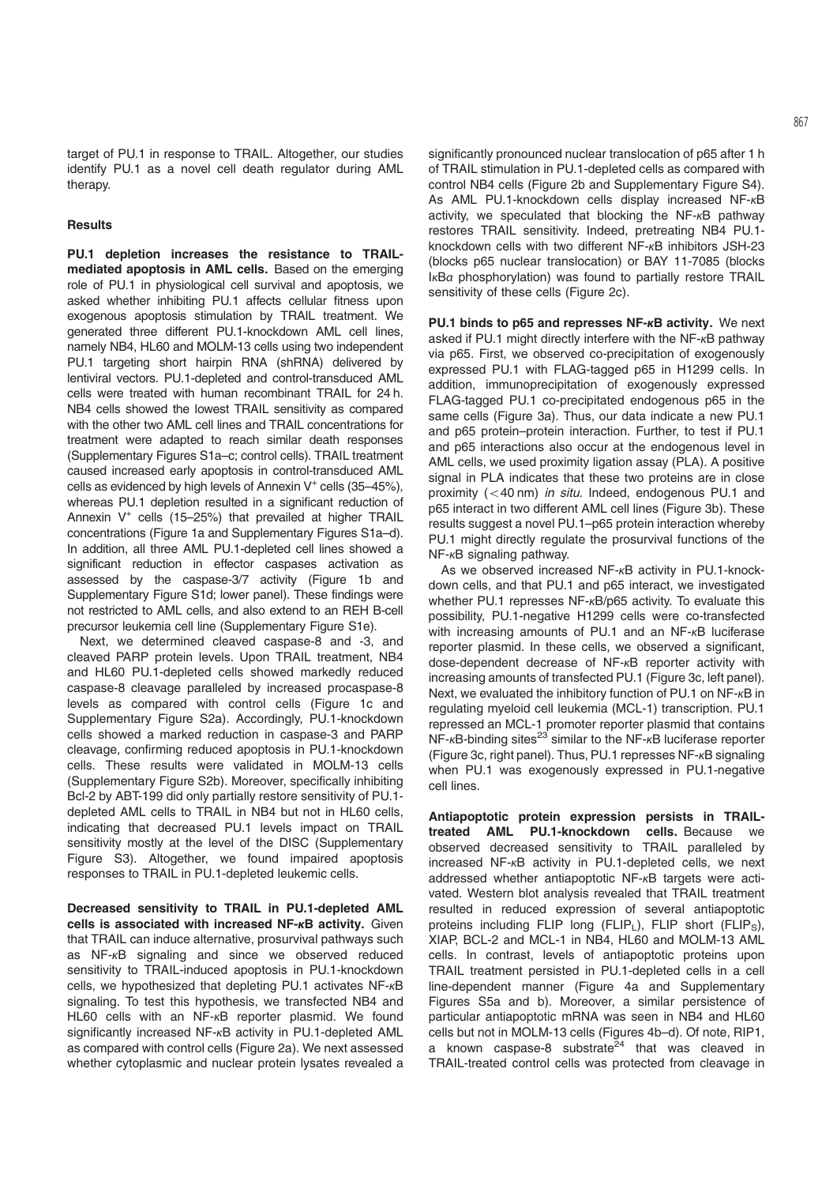target of PU.1 in response to TRAIL. Altogether, our studies identify PU.1 as a novel cell death regulator during AML therapy.

# **Results**

PU.1 depletion increases the resistance to TRAILmediated apoptosis in AML cells. Based on the emerging role of PU.1 in physiological cell survival and apoptosis, we asked whether inhibiting PU.1 affects cellular fitness upon exogenous apoptosis stimulation by TRAIL treatment. We generated three different PU.1-knockdown AML cell lines, namely NB4, HL60 and MOLM-13 cells using two independent PU.1 targeting short hairpin RNA (shRNA) delivered by lentiviral vectors. PU.1-depleted and control-transduced AML cells were treated with human recombinant TRAIL for 24 h. NB4 cells showed the lowest TRAIL sensitivity as compared with the other two AML cell lines and TRAIL concentrations for treatment were adapted to reach similar death responses (Supplementary Figures S1a–c; control cells). TRAIL treatment caused increased early apoptosis in control-transduced AML cells as evidenced by high levels of Annexin  $V^+$  cells (35–45%), whereas PU.1 depletion resulted in a significant reduction of Annexin  $V^+$  cells (15–25%) that prevailed at higher TRAIL concentrations (Figure 1a and Supplementary Figures S1a–d). In addition, all three AML PU.1-depleted cell lines showed a significant reduction in effector caspases activation as assessed by the caspase-3/7 activity (Figure 1b and Supplementary Figure S1d; lower panel). These findings were not restricted to AML cells, and also extend to an REH B-cell precursor leukemia cell line (Supplementary Figure S1e).

Next, we determined cleaved caspase-8 and -3, and cleaved PARP protein levels. Upon TRAIL treatment, NB4 and HL60 PU.1-depleted cells showed markedly reduced caspase-8 cleavage paralleled by increased procaspase-8 levels as compared with control cells (Figure 1c and Supplementary Figure S2a). Accordingly, PU.1-knockdown cells showed a marked reduction in caspase-3 and PARP cleavage, confirming reduced apoptosis in PU.1-knockdown cells. These results were validated in MOLM-13 cells (Supplementary Figure S2b). Moreover, specifically inhibiting Bcl-2 by ABT-199 did only partially restore sensitivity of PU.1 depleted AML cells to TRAIL in NB4 but not in HL60 cells, indicating that decreased PU.1 levels impact on TRAIL sensitivity mostly at the level of the DISC (Supplementary Figure S3). Altogether, we found impaired apoptosis responses to TRAIL in PU.1-depleted leukemic cells.

Decreased sensitivity to TRAIL in PU.1-depleted AML cells is associated with increased NF-κB activity. Given that TRAIL can induce alternative, prosurvival pathways such as NF-<sub>K</sub>B signaling and since we observed reduced sensitivity to TRAIL-induced apoptosis in PU.1-knockdown cells, we hypothesized that depleting PU.1 activates NF-κB signaling. To test this hypothesis, we transfected NB4 and HL60 cells with an NF-κB reporter plasmid. We found significantly increased NF-κB activity in PU.1-depleted AML as compared with control cells (Figure 2a). We next assessed whether cytoplasmic and nuclear protein lysates revealed a

significantly pronounced nuclear translocation of p65 after 1 h of TRAIL stimulation in PU.1-depleted cells as compared with control NB4 cells (Figure 2b and Supplementary Figure S4). As AML PU.1-knockdown cells display increased NF-κB activity, we speculated that blocking the NF-κB pathway restores TRAIL sensitivity. Indeed, pretreating NB4 PU.1 knockdown cells with two different NF-κB inhibitors JSH-23 (blocks p65 nuclear translocation) or BAY 11-7085 (blocks IκBα phosphorylation) was found to partially restore TRAIL sensitivity of these cells (Figure 2c).

PU.1 binds to p65 and represses NF-κB activity. We next asked if PU.1 might directly interfere with the NF-κB pathway via p65. First, we observed co-precipitation of exogenously expressed PU.1 with FLAG-tagged p65 in H1299 cells. In addition, immunoprecipitation of exogenously expressed FLAG-tagged PU.1 co-precipitated endogenous p65 in the same cells (Figure 3a). Thus, our data indicate a new PU.1 and p65 protein–protein interaction. Further, to test if PU.1 and p65 interactions also occur at the endogenous level in AML cells, we used proximity ligation assay (PLA). A positive signal in PLA indicates that these two proteins are in close proximity  $( $40 \text{ nm}$ )$  in situ. Indeed, endogenous PU.1 and p65 interact in two different AML cell lines (Figure 3b). These results suggest a novel PU.1–p65 protein interaction whereby PU.1 might directly regulate the prosurvival functions of the NF-κB signaling pathway.

As we observed increased NF-κB activity in PU.1-knockdown cells, and that PU.1 and p65 interact, we investigated whether PU.1 represses NF-κB/p65 activity. To evaluate this possibility, PU.1-negative H1299 cells were co-transfected with increasing amounts of PU.1 and an NF-κB luciferase reporter plasmid. In these cells, we observed a significant, dose-dependent decrease of NF-κB reporter activity with increasing amounts of transfected PU.1 (Figure 3c, left panel). Next, we evaluated the inhibitory function of PU.1 on NF-κB in regulating myeloid cell leukemia (MCL-1) transcription. PU.1 repressed an MCL-1 promoter reporter plasmid that contains  $NF$ - $\kappa$ B-binding sites<sup>23</sup> similar to the NF- $\kappa$ B luciferase reporter (Figure 3c, right panel). Thus, PU.1 represses NF-κB signaling when PU.1 was exogenously expressed in PU.1-negative cell lines.

Antiapoptotic protein expression persists in TRAILtreated AML PU.1-knockdown cells. Because we observed decreased sensitivity to TRAIL paralleled by increased NF-κB activity in PU.1-depleted cells, we next addressed whether antiapoptotic NF-κB targets were activated. Western blot analysis revealed that TRAIL treatment resulted in reduced expression of several antiapoptotic proteins including FLIP long  $(FLIP_1)$ , FLIP short  $(FLIP_S)$ , XIAP, BCL-2 and MCL-1 in NB4, HL60 and MOLM-13 AML cells. In contrast, levels of antiapoptotic proteins upon TRAIL treatment persisted in PU.1-depleted cells in a cell line-dependent manner (Figure 4a and Supplementary Figures S5a and b). Moreover, a similar persistence of particular antiapoptotic mRNA was seen in NB4 and HL60 cells but not in MOLM-13 cells (Figures 4b–d). Of note, RIP1, a known caspase-8 substrate<sup> $24$ </sup> that was cleaved in TRAIL-treated control cells was protected from cleavage in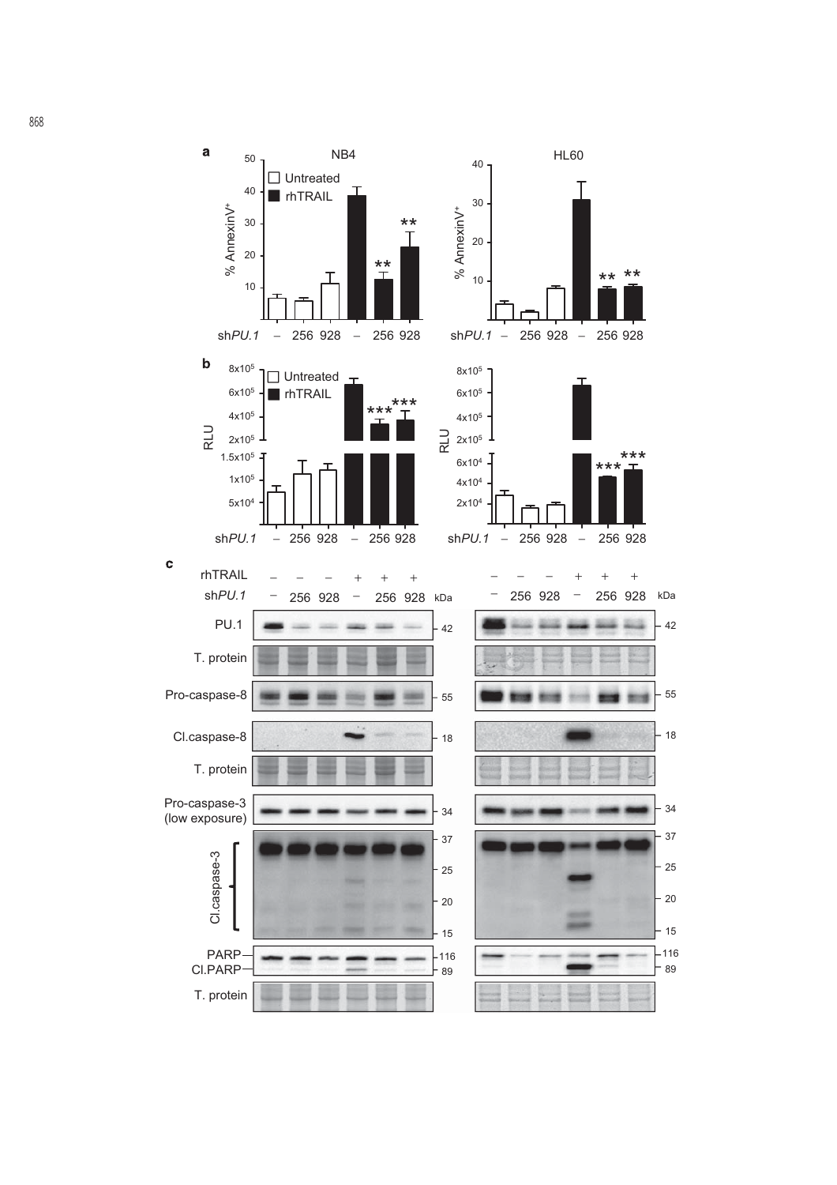

868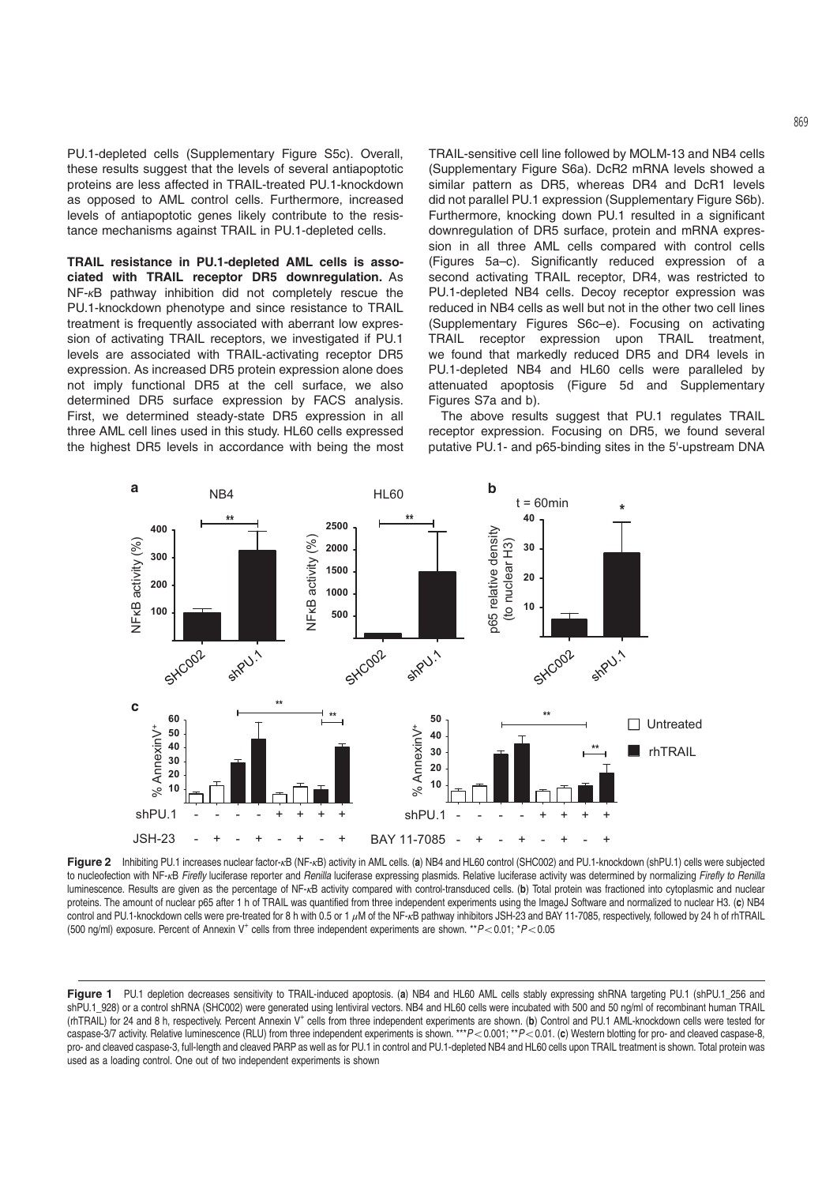PU.1-depleted cells (Supplementary Figure S5c). Overall, these results suggest that the levels of several antiapoptotic proteins are less affected in TRAIL-treated PU.1-knockdown as opposed to AML control cells. Furthermore, increased levels of antiapoptotic genes likely contribute to the resistance mechanisms against TRAIL in PU.1-depleted cells.

TRAIL resistance in PU.1-depleted AML cells is associated with TRAIL receptor DR5 downregulation. As NF-κB pathway inhibition did not completely rescue the PU.1-knockdown phenotype and since resistance to TRAIL treatment is frequently associated with aberrant low expression of activating TRAIL receptors, we investigated if PU.1 levels are associated with TRAIL-activating receptor DR5 expression. As increased DR5 protein expression alone does not imply functional DR5 at the cell surface, we also determined DR5 surface expression by FACS analysis. First, we determined steady-state DR5 expression in all three AML cell lines used in this study. HL60 cells expressed the highest DR5 levels in accordance with being the most

TRAIL-sensitive cell line followed by MOLM-13 and NB4 cells (Supplementary Figure S6a). DcR2 mRNA levels showed a similar pattern as DR5, whereas DR4 and DcR1 levels did not parallel PU.1 expression (Supplementary Figure S6b). Furthermore, knocking down PU.1 resulted in a significant downregulation of DR5 surface, protein and mRNA expression in all three AML cells compared with control cells (Figures 5a–c). Significantly reduced expression of a second activating TRAIL receptor, DR4, was restricted to PU.1-depleted NB4 cells. Decoy receptor expression was reduced in NB4 cells as well but not in the other two cell lines (Supplementary Figures S6c–e). Focusing on activating TRAIL receptor expression upon TRAIL treatment, we found that markedly reduced DR5 and DR4 levels in PU.1-depleted NB4 and HL60 cells were paralleled by attenuated apoptosis (Figure 5d and Supplementary Figures S7a and b).

The above results suggest that PU.1 regulates TRAIL receptor expression. Focusing on DR5, we found several putative PU.1- and p65-binding sites in the 5'-upstream DNA



Figure 2 Inhibiting PU.1 increases nuclear factor-κB (NF-κB) activity in AML cells. (a) NB4 and HL60 control (SHC002) and PU.1-knockdown (shPU.1) cells were subjected to nucleofection with NF-<sub>K</sub>B Firefly luciferase reporter and Renilla luciferase expressing plasmids. Relative luciferase activity was determined by normalizing Firefly to Renilla luminescence. Results are given as the percentage of NF-<sub>KB</sub> activity compared with control-transduced cells. (b) Total protein was fractioned into cytoplasmic and nuclear proteins. The amount of nuclear p65 after 1 h of TRAIL was quantified from three independent experiments using the ImageJ Software and normalized to nuclear H3. (c) NB4 control and PU.1-knockdown cells were pre-treated for 8 h with 0.5 or 1 μM of the NF-κB pathway inhibitors JSH-23 and BAY 11-7085, respectively, followed by 24 h of rhTRAIL (500 ng/ml) exposure. Percent of Annexin V<sup>+</sup> cells from three independent experiments are shown. \*\* $P < 0.01$ ; \* $P < 0.05$ 

Figure 1 PU.1 depletion decreases sensitivity to TRAIL-induced apoptosis. (a) NB4 and HL60 AML cells stably expressing shRNA targeting PU.1 (shPU.1\_256 and shPU.1\_928) or a control shRNA (SHC002) were generated using lentiviral vectors. NB4 and HL60 cells were incubated with 500 and 50 ng/ml of recombinant human TRAIL (rhTRAIL) for 24 and 8 h, respectively. Percent Annexin V<sup>+</sup> cells from three independent experiments are shown. (b) Control and PU.1 AML-knockdown cells were tested for caspase-3/7 activity. Relative luminescence (RLU) from three independent experiments is shown. \*\*\* $P< 0.001$ ; \*\* $P< 0.01$ . (c) Western blotting for pro- and cleaved caspase-8, pro- and cleaved caspase-3, full-length and cleaved PARP as well as for PU.1 in control and PU.1-depleted NB4 and HL60 cells upon TRAIL treatment is shown. Total protein was used as a loading control. One out of two independent experiments is shown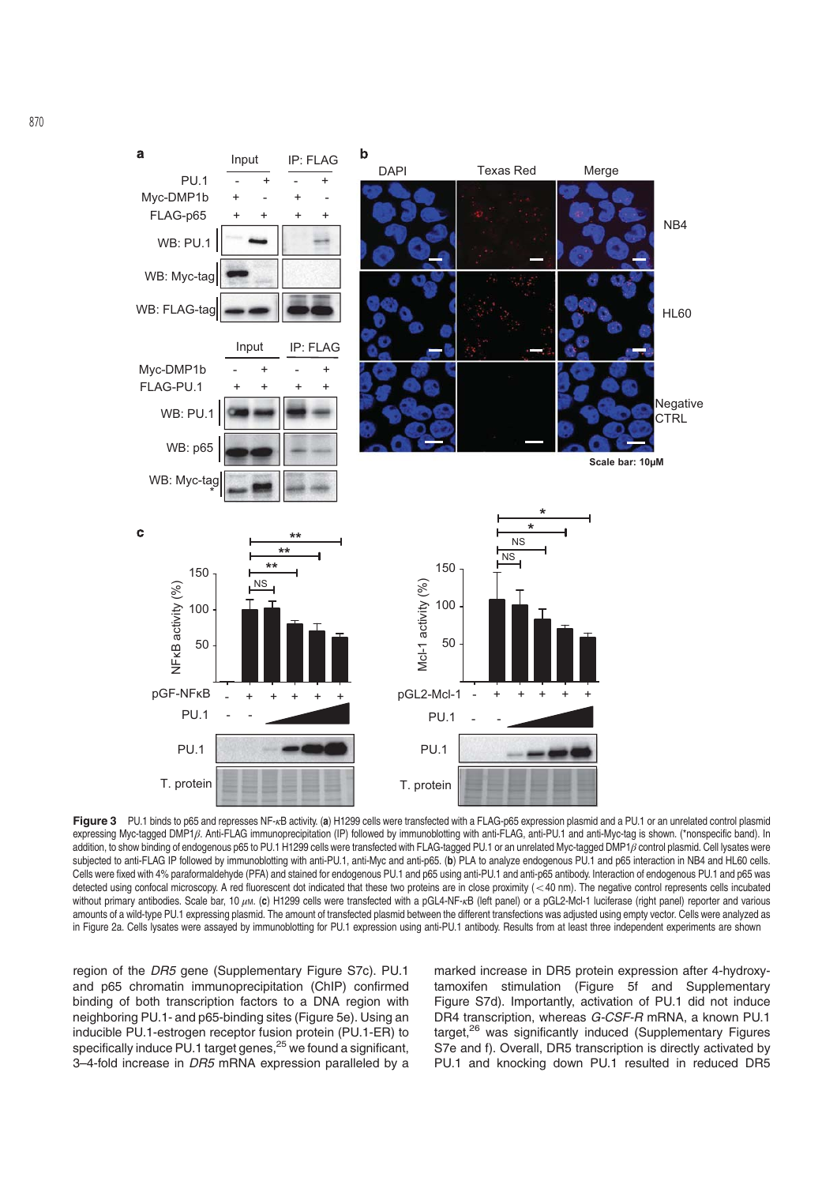

Figure 3 PU.1 binds to p65 and represses NF-<sub>K</sub>B activity. (a) H1299 cells were transfected with a FLAG-p65 expression plasmid and a PU.1 or an unrelated control plasmid expressing Myc-tagged DMP1β. Anti-FLAG immunoprecipitation (IP) followed by immunoblotting with anti-FLAG, anti-PU.1 and anti-Myc-tag is shown. (\*nonspecific band). In addition, to show binding of endogenous p65 to PU.1 H1299 cells were transfected with FLAG-tagged PU.1 or an unrelated Myc-tagged DMP1β control plasmid. Cell lysates were subjected to anti-FLAG IP followed by immunoblotting with anti-PU.1, anti-Myc and anti-p65. (b) PLA to analyze endogenous PU.1 and p65 interaction in NB4 and HL60 cells. Cells were fixed with 4% paraformaldehyde (PFA) and stained for endogenous PU.1 and p65 using anti-PU.1 and anti-p65 antibody. Interaction of endogenous PU.1 and p65 was detected using confocal microscopy. A red fluorescent dot indicated that these two proteins are in close proximity (<40 nm). The negative control represents cells incubated without primary antibodies. Scale bar, 10 μm. (c) H1299 cells were transfected with a pGL4-NF-κB (left panel) or a pGL2-Mcl-1 luciferase (right panel) reporter and various amounts of a wild-type PU.1 expressing plasmid. The amount of transfected plasmid between the different transfections was adjusted using empty vector. Cells were analyzed as in Figure 2a. Cells lysates were assayed by immunoblotting for PU.1 expression using anti-PU.1 antibody. Results from at least three independent experiments are shown

region of the DR5 gene (Supplementary Figure S7c). PU.1 and p65 chromatin immunoprecipitation (ChIP) confirmed binding of both transcription factors to a DNA region with neighboring PU.1- and p65-binding sites (Figure 5e). Using an inducible PU.1-estrogen receptor fusion protein (PU.1-ER) to specifically induce PU.1 target genes, $25$  we found a significant, 3-4-fold increase in DR5 mRNA expression paralleled by a

marked increase in DR5 protein expression after 4-hydroxytamoxifen stimulation (Figure 5f and Supplementary Figure S7d). Importantly, activation of PU.1 did not induce DR4 transcription, whereas G-CSF-R mRNA, a known PU.1 target,<sup>26</sup> was significantly induced (Supplementary Figures S7e and f). Overall, DR5 transcription is directly activated by PU.1 and knocking down PU.1 resulted in reduced DR5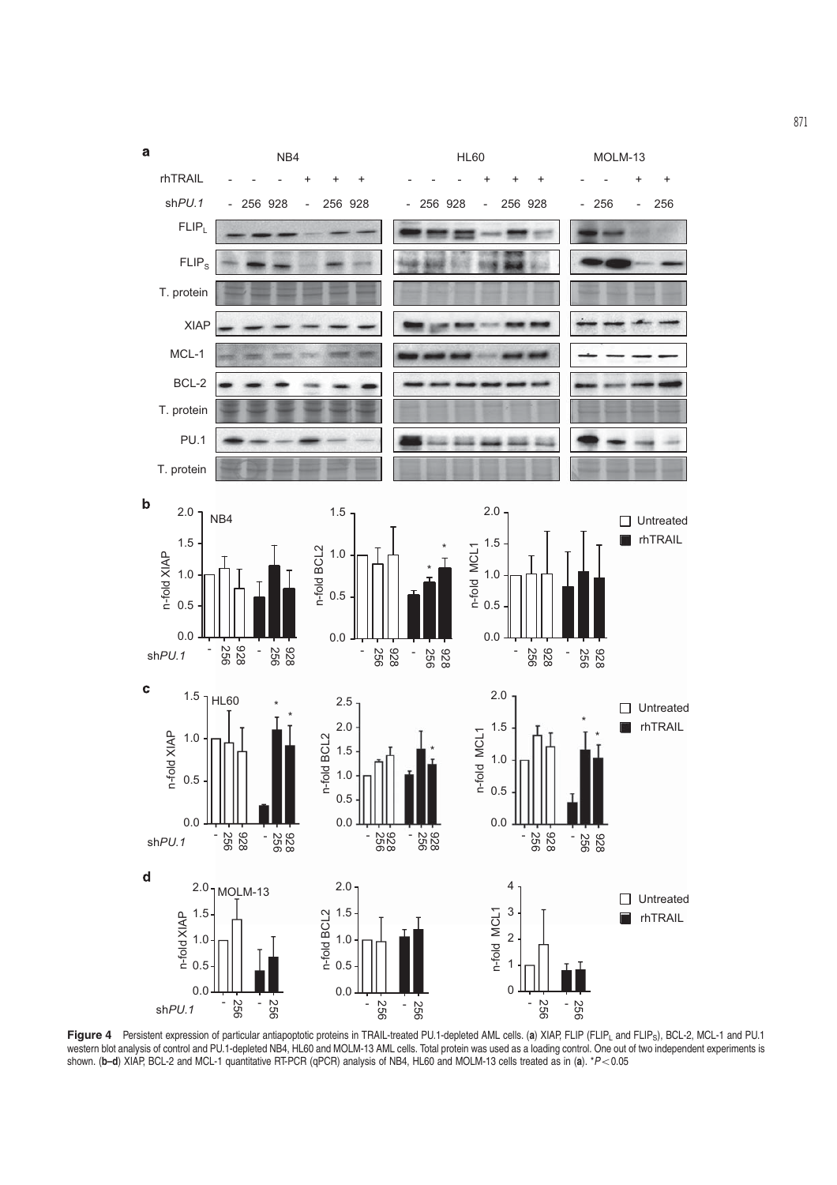

Figure 4 Persistent expression of particular antiapoptotic proteins in TRAIL-treated PU.1-depleted AML cells. (a) XIAP, FLIP (FLIP<sub>L</sub> and FLIP<sub>S</sub>), BCL-2, MCL-1 and PU.1 western blot analysis of control and PU.1-depleted NB4, HL60 and MOLM-13 AML cells. Total protein was used as a loading control. One out of two independent experiments is shown. ( $b-d$ ) XIAP, BCL-2 and MCL-1 quantitative RT-PCR (qPCR) analysis of NB4, HL60 and MOLM-13 cells treated as in (a).  $*P<0.05$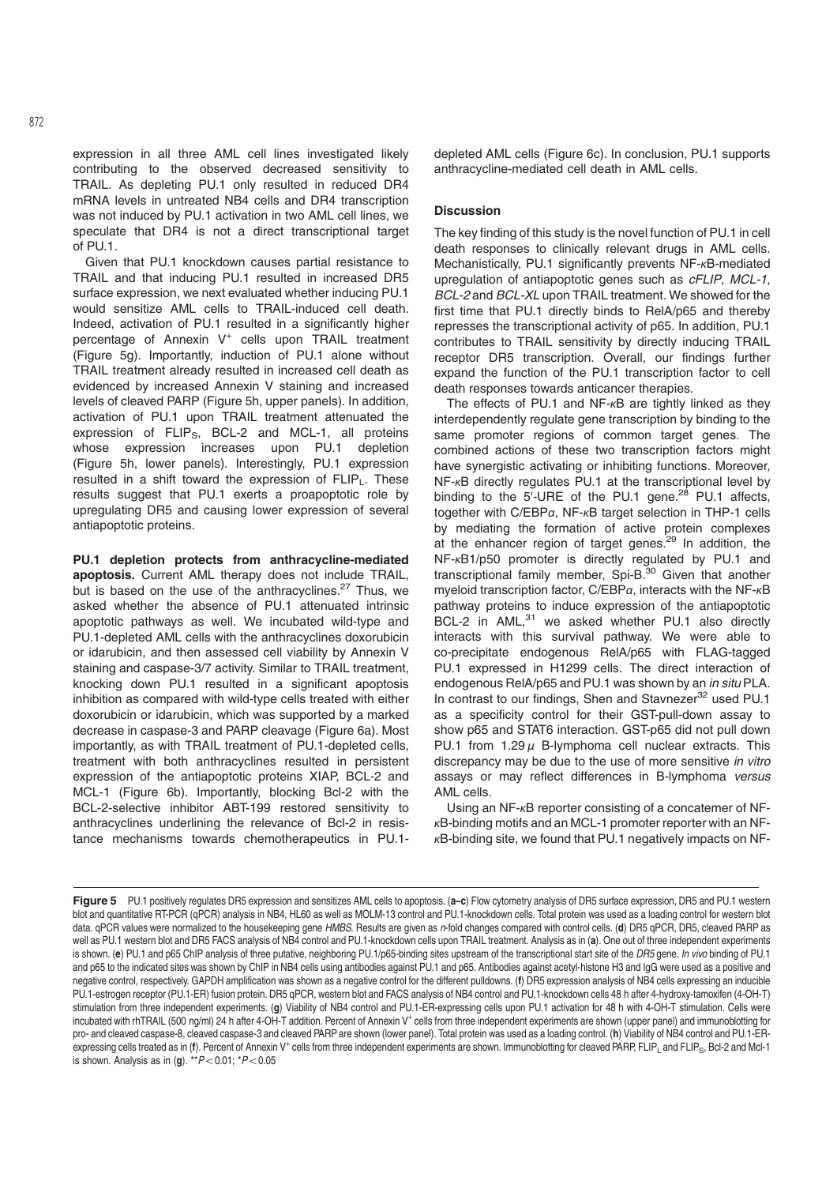expression in all three AML cell lines investigated likely contributing to the observed decreased sensitivity to TRAIL. As depleting PU.1 only resulted in reduced DR4 mRNA levels in untreated NB4 cells and DR4 transcription was not induced by PU.1 activation in two AML cell lines, we speculate that DR4 is not a direct transcriptional target of PU.1.

Given that PU.1 knockdown causes partial resistance to TRAIL and that inducing PU.1 resulted in increased DR5 surface expression, we next evaluated whether inducing PU.1 would sensitize AML cells to TRAIL-induced cell death. Indeed, activation of PU.1 resulted in a significantly higher percentage of Annexin V<sup>+</sup> cells upon TRAIL treatment (Figure 5g). Importantly, induction of PU.1 alone without TRAIL treatment already resulted in increased cell death as evidenced by increased Annexin V staining and increased levels of cleaved PARP (Figure 5h, upper panels). In addition, activation of PU.1 upon TRAIL treatment attenuated the expression of FLIP<sub>S</sub>, BCL-2 and MCL-1, all proteins whose expression increases upon PU.1 depletion (Figure 5h, lower panels). Interestingly, PU.1 expression resulted in a shift toward the expression of FLIPL. These results suggest that PU.1 exerts a proapoptotic role by upregulating DR5 and causing lower expression of several antiapoptotic proteins.

PU.1 depletion protects from anthracycline-mediated apoptosis. Current AML therapy does not include TRAIL, but is based on the use of the anthracyclines.<sup>27</sup> Thus, we asked whether the absence of PU.1 attenuated intrinsic apoptotic pathways as well. We incubated wild-type and PU.1-depleted AML cells with the anthracyclines doxorubicin or idarubicin, and then assessed cell viability by Annexin V staining and caspase-3/7 activity. Similar to TRAIL treatment, knocking down PU.1 resulted in a significant apoptosis inhibition as compared with wild-type cells treated with either doxorubicin or idarubicin, which was supported by a marked decrease in caspase-3 and PARP cleavage (Figure 6a). Most importantly, as with TRAIL treatment of PU.1-depleted cells, treatment with both anthracyclines resulted in persistent expression of the antiapoptotic proteins XIAP, BCL-2 and MCL-1 (Figure 6b). Importantly, blocking Bcl-2 with the BCL-2-selective inhibitor ABT-199 restored sensitivity to anthracyclines underlining the relevance of Bcl-2 in resistance mechanisms towards chemotherapeutics in PU.1depleted AML cells (Figure 6c). In conclusion, PU.1 supports anthracycline-mediated cell death in AML cells.

# **Discussion**

The key finding of this study is the novel function of PU.1 in cell death responses to clinically relevant drugs in AML cells. Mechanistically, PU.1 significantly prevents NF-κB-mediated upregulation of antiapoptotic genes such as cFLIP, MCL-1, BCL-2 and BCL-XL upon TRAIL treatment. We showed for the first time that PU.1 directly binds to RelA/p65 and thereby represses the transcriptional activity of p65. In addition, PU.1 contributes to TRAIL sensitivity by directly inducing TRAIL receptor DR5 transcription. Overall, our findings further expand the function of the PU.1 transcription factor to cell death responses towards anticancer therapies.

The effects of PU.1 and  $NF-<sub>K</sub>B$  are tightly linked as they interdependently regulate gene transcription by binding to the same promoter regions of common target genes. The combined actions of these two transcription factors might have synergistic activating or inhibiting functions. Moreover, NF-κB directly regulates PU.1 at the transcriptional level by binding to the 5'-URE of the PU.1 gene. $^{28}$  PU.1 affects, together with C/EBPα, NF-κB target selection in THP-1 cells by mediating the formation of active protein complexes at the enhancer region of target genes.29 In addition, the NF-κB1/p50 promoter is directly regulated by PU.1 and transcriptional family member, Spi-B.30 Given that another myeloid transcription factor, C/EBPα, interacts with the NF-κB pathway proteins to induce expression of the antiapoptotic BCL-2 in AML,<sup>31</sup> we asked whether PU.1 also directly interacts with this survival pathway. We were able to co-precipitate endogenous RelA/p65 with FLAG-tagged PU.1 expressed in H1299 cells. The direct interaction of endogenous RelA/p65 and PU.1 was shown by an in situ PLA. In contrast to our findings, Shen and Stavnezer<sup>32</sup> used PU.1 as a specificity control for their GST-pull-down assay to show p65 and STAT6 interaction. GST-p65 did not pull down PU.1 from  $1.29 \mu$  B-lymphoma cell nuclear extracts. This discrepancy may be due to the use of more sensitive in vitro assays or may reflect differences in B-lymphoma versus AML cells.

Using an NF-κB reporter consisting of a concatemer of NFκB-binding motifs and an MCL-1 promoter reporter with an NFκB-binding site, we found that PU.1 negatively impacts on NF-

Figure 5 PU.1 positively regulates DR5 expression and sensitizes AML cells to apoptosis. (a-c) Flow cytometry analysis of DR5 surface expression, DR5 and PU.1 western blot and quantitative RT-PCR (qPCR) analysis in NB4, HL60 as well as MOLM-13 control and PU.1-knockdown cells. Total protein was used as a loading control for western blot data. qPCR values were normalized to the housekeeping gene HMBS. Results are given as n-fold changes compared with control cells. (d) DR5 qPCR, DR5, cleaved PARP as well as PU.1 western blot and DR5 FACS analysis of NB4 control and PU.1-knockdown cells upon TRAIL treatment. Analysis as in (a). One out of three independent experiments is shown. (e) PU.1 and p65 ChIP analysis of three putative, neighboring PU.1/p65-binding sites upstream of the transcriptional start site of the DR5 gene. In vivo binding of PU.1 and p65 to the indicated sites was shown by ChIP in NB4 cells using antibodies against PU.1 and p65. Antibodies against acetyl-histone H3 and IgG were used as a positive and negative control, respectively. GAPDH amplification was shown as a negative control for the different pulldowns. (f) DR5 expression analysis of NB4 cells expressing an inducible PU.1-estrogen receptor (PU.1-ER) fusion protein. DR5 qPCR, western blot and FACS analysis of NB4 control and PU.1-knockdown cells 48 h after 4-hydroxy-tamoxifen (4-OH-T) stimulation from three independent experiments. (g) Viability of NB4 control and PU.1-ER-expressing cells upon PU.1 activation for 48 h with 4-OH-T stimulation. Cells were incubated with rhTRAIL (500 ng/ml) 24 h after 4-OH-T addition. Percent of Annexin V<sup>+</sup> cells from three independent experiments are shown (upper panel) and immunoblotting for pro- and cleaved caspase-8, cleaved caspase-3 and cleaved PARP are shown (lower panel). Total protein was used as a loading control. (h) Viability of NB4 control and PU.1-ERexpressing cells treated as in (f). Percent of Annexin V<sup>+</sup> cells from three independent experiments are shown. Immunoblotting for cleaved PARP, FLIP<sub>1</sub> and FLIP<sub>5</sub>, Bcl-2 and Mcl-1 is shown. Analysis as in (g). \*\* $P$  < 0.01;  $*P$  < 0.05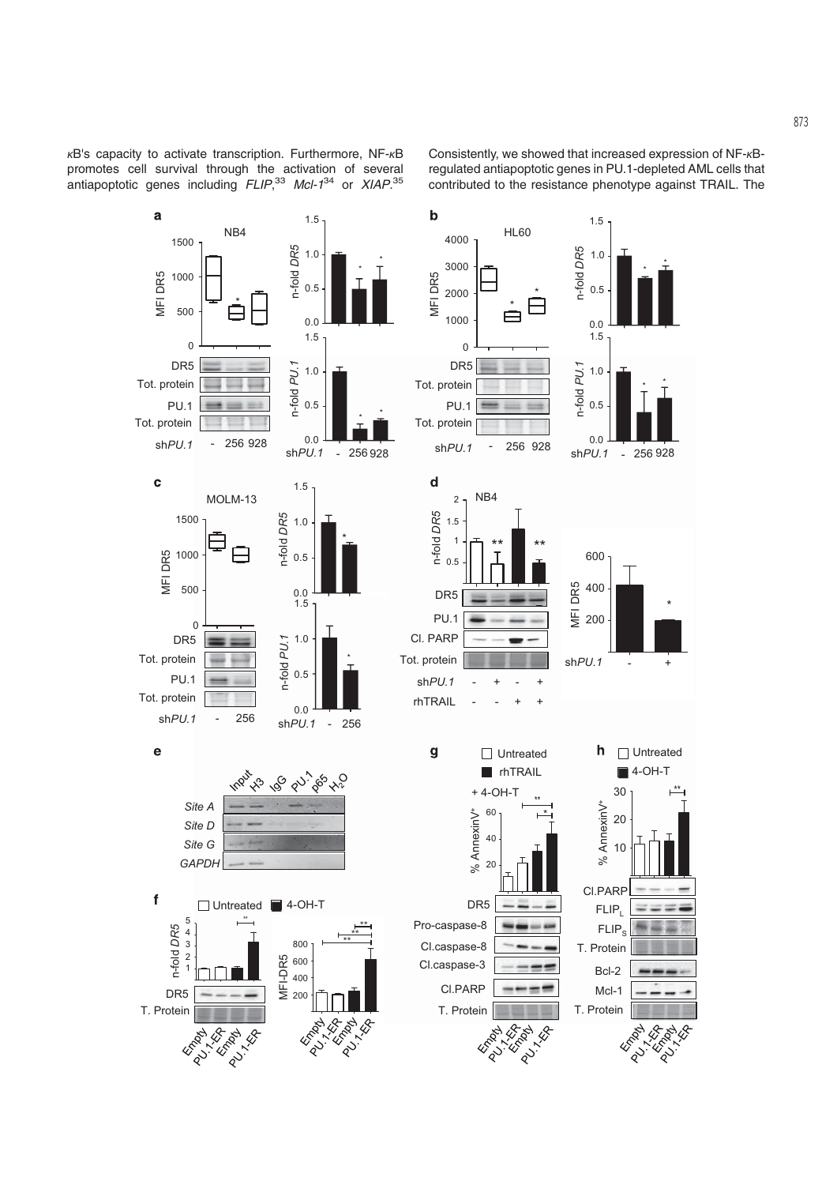κB's capacity to activate transcription. Furthermore, NF-κB promotes cell survival through the activation of several antiapoptotic genes including  $FLIP^{33}$  Mcl- $1^{34}$  or XIAP.<sup>35</sup>

Consistently, we showed that increased expression of NF-κBregulated antiapoptotic genes in PU.1-depleted AML cells that contributed to the resistance phenotype against TRAIL. The

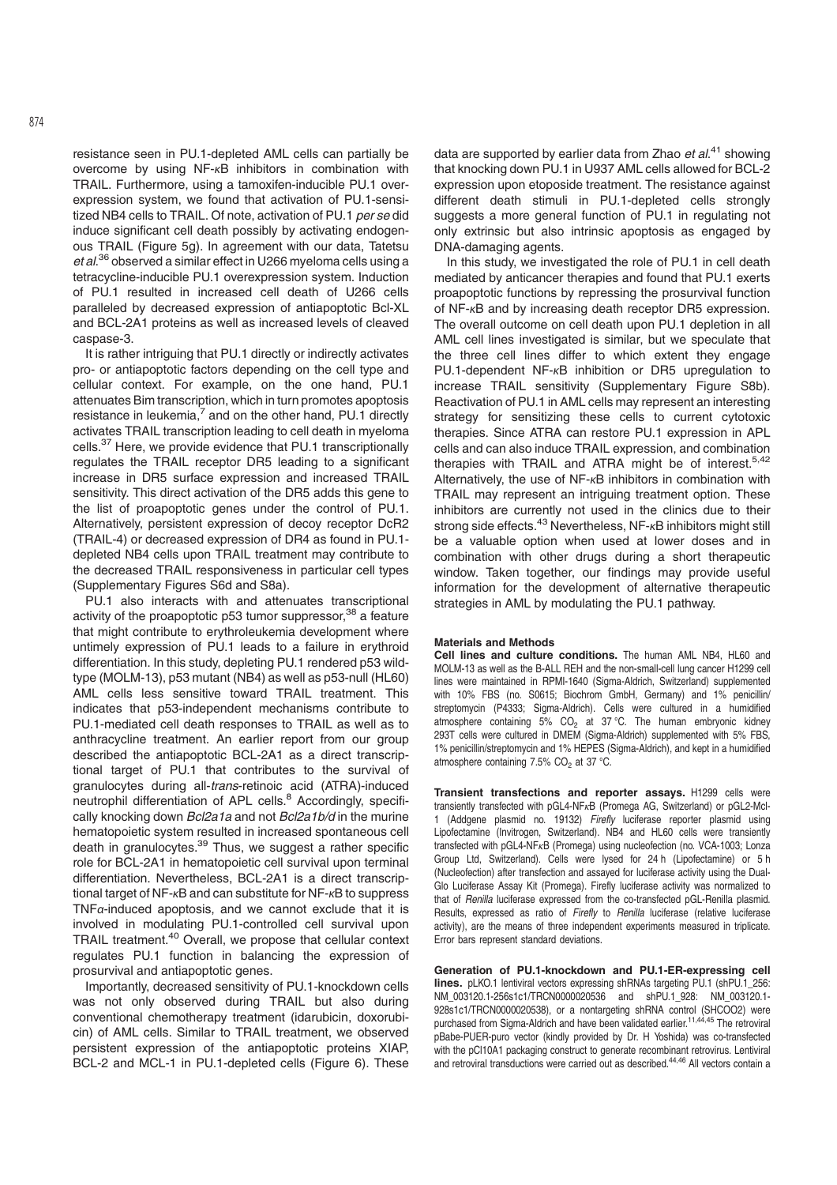resistance seen in PU.1-depleted AML cells can partially be overcome by using NF-κB inhibitors in combination with TRAIL. Furthermore, using a tamoxifen-inducible PU.1 overexpression system, we found that activation of PU.1-sensitized NB4 cells to TRAIL. Of note, activation of PU.1 per se did induce significant cell death possibly by activating endogenous TRAIL (Figure 5g). In agreement with our data, Tatetsu et al.<sup>36</sup> observed a similar effect in U266 myeloma cells using a tetracycline-inducible PU.1 overexpression system. Induction of PU.1 resulted in increased cell death of U266 cells paralleled by decreased expression of antiapoptotic Bcl-XL and BCL-2A1 proteins as well as increased levels of cleaved caspase-3.

It is rather intriguing that PU.1 directly or indirectly activates pro- or antiapoptotic factors depending on the cell type and cellular context. For example, on the one hand, PU.1 attenuates Bim transcription, which in turn promotes apoptosis resistance in leukemia, $^7$  and on the other hand, PU.1 directly activates TRAIL transcription leading to cell death in myeloma cells.37 Here, we provide evidence that PU.1 transcriptionally regulates the TRAIL receptor DR5 leading to a significant increase in DR5 surface expression and increased TRAIL sensitivity. This direct activation of the DR5 adds this gene to the list of proapoptotic genes under the control of PU.1. Alternatively, persistent expression of decoy receptor DcR2 (TRAIL-4) or decreased expression of DR4 as found in PU.1 depleted NB4 cells upon TRAIL treatment may contribute to the decreased TRAIL responsiveness in particular cell types (Supplementary Figures S6d and S8a).

PU.1 also interacts with and attenuates transcriptional activity of the proapoptotic p53 tumor suppressor,<sup>38</sup> a feature that might contribute to erythroleukemia development where untimely expression of PU.1 leads to a failure in erythroid differentiation. In this study, depleting PU.1 rendered p53 wildtype (MOLM-13), p53 mutant (NB4) as well as p53-null (HL60) AML cells less sensitive toward TRAIL treatment. This indicates that p53-independent mechanisms contribute to PU.1-mediated cell death responses to TRAIL as well as to anthracycline treatment. An earlier report from our group described the antiapoptotic BCL-2A1 as a direct transcriptional target of PU.1 that contributes to the survival of granulocytes during all-trans-retinoic acid (ATRA)-induced neutrophil differentiation of APL cells.<sup>8</sup> Accordingly, specifically knocking down Bcl2a1a and not Bcl2a1b/d in the murine hematopoietic system resulted in increased spontaneous cell death in granulocytes.<sup>39</sup> Thus, we suggest a rather specific role for BCL-2A1 in hematopoietic cell survival upon terminal differentiation. Nevertheless, BCL-2A1 is a direct transcriptional target of NF-κB and can substitute for NF-κB to suppress TNFα-induced apoptosis, and we cannot exclude that it is involved in modulating PU.1-controlled cell survival upon TRAIL treatment.40 Overall, we propose that cellular context regulates PU.1 function in balancing the expression of prosurvival and antiapoptotic genes.

Importantly, decreased sensitivity of PU.1-knockdown cells was not only observed during TRAIL but also during conventional chemotherapy treatment (idarubicin, doxorubicin) of AML cells. Similar to TRAIL treatment, we observed persistent expression of the antiapoptotic proteins XIAP, BCL-2 and MCL-1 in PU.1-depleted cells (Figure 6). These

data are supported by earlier data from Zhao *et al*.<sup>41</sup> showing that knocking down PU.1 in U937 AML cells allowed for BCL-2 expression upon etoposide treatment. The resistance against different death stimuli in PU.1-depleted cells strongly suggests a more general function of PU.1 in regulating not only extrinsic but also intrinsic apoptosis as engaged by DNA-damaging agents.

In this study, we investigated the role of PU.1 in cell death mediated by anticancer therapies and found that PU.1 exerts proapoptotic functions by repressing the prosurvival function of NF-κB and by increasing death receptor DR5 expression. The overall outcome on cell death upon PU.1 depletion in all AML cell lines investigated is similar, but we speculate that the three cell lines differ to which extent they engage PU.1-dependent NF-κB inhibition or DR5 upregulation to increase TRAIL sensitivity (Supplementary Figure S8b). Reactivation of PU.1 in AML cells may represent an interesting strategy for sensitizing these cells to current cytotoxic therapies. Since ATRA can restore PU.1 expression in APL cells and can also induce TRAIL expression, and combination therapies with TRAIL and ATRA might be of interest.<sup>5,42</sup> Alternatively, the use of NF-κB inhibitors in combination with TRAIL may represent an intriguing treatment option. These inhibitors are currently not used in the clinics due to their strong side effects.<sup>43</sup> Nevertheless, NF-<sub>K</sub>B inhibitors might still be a valuable option when used at lower doses and in combination with other drugs during a short therapeutic window. Taken together, our findings may provide useful information for the development of alternative therapeutic strategies in AML by modulating the PU.1 pathway.

#### Materials and Methods

Cell lines and culture conditions. The human AML NB4, HL60 and MOLM-13 as well as the B-ALL REH and the non-small-cell lung cancer H1299 cell lines were maintained in RPMI-1640 (Sigma-Aldrich, Switzerland) supplemented with 10% FBS (no. S0615; Biochrom GmbH, Germany) and 1% penicillin/ streptomycin (P4333; Sigma-Aldrich). Cells were cultured in a humidified atmosphere containing 5%  $CO<sub>2</sub>$  at 37 °C. The human embryonic kidney 293T cells were cultured in DMEM (Sigma-Aldrich) supplemented with 5% FBS, 1% penicillin/streptomycin and 1% HEPES (Sigma-Aldrich), and kept in a humidified atmosphere containing 7.5%  $CO<sub>2</sub>$  at 37 °C.

Transient transfections and reporter assays. H1299 cells were transiently transfected with pGL4-NFκB (Promega AG, Switzerland) or pGL2-Mcl-1 (Addgene plasmid no. 19132) Firefly luciferase reporter plasmid using Lipofectamine (Invitrogen, Switzerland). NB4 and HL60 cells were transiently transfected with pGL4-NFκB (Promega) using nucleofection (no. VCA-1003; Lonza Group Ltd, Switzerland). Cells were lysed for 24 h (Lipofectamine) or 5 h (Nucleofection) after transfection and assayed for luciferase activity using the Dual-Glo Luciferase Assay Kit (Promega). Firefly luciferase activity was normalized to that of Renilla luciferase expressed from the co-transfected pGL-Renilla plasmid. Results, expressed as ratio of Firefly to Renilla luciferase (relative luciferase activity), are the means of three independent experiments measured in triplicate. Error bars represent standard deviations.

Generation of PU.1-knockdown and PU.1-ER-expressing cell lines. pLKO.1 lentiviral vectors expressing shRNAs targeting PU.1 (shPU.1\_256: NM\_003120.1-256s1c1/TRCN0000020536 and shPU.1\_928: NM\_003120.1- 928s1c1/TRCN0000020538), or a nontargeting shRNA control (SHCOO2) were purchased from Sigma-Aldrich and have been validated earlier.<sup>11,44,45</sup> The retroviral pBabe-PUER-puro vector (kindly provided by Dr. H Yoshida) was co-transfected with the pCl10A1 packaging construct to generate recombinant retrovirus. Lentiviral and retroviral transductions were carried out as described.44,46 All vectors contain a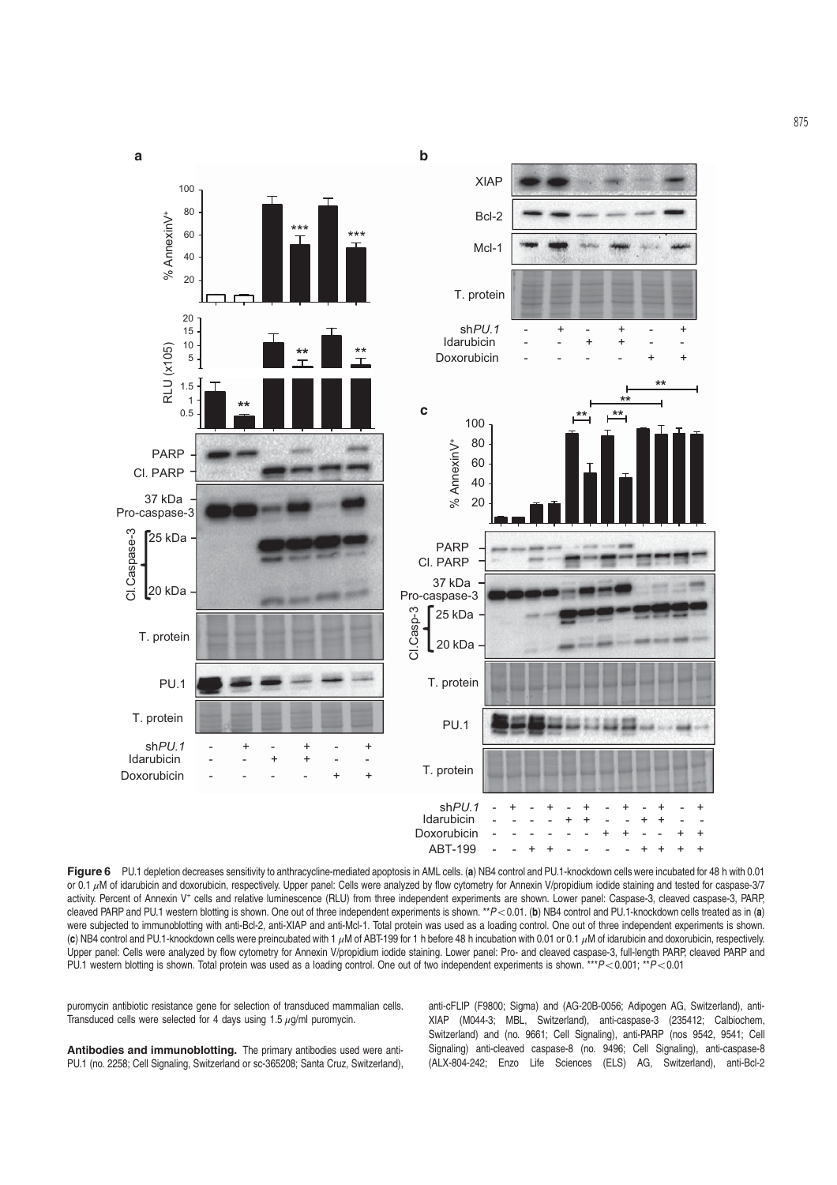

Figure 6 PU.1 depletion decreases sensitivity to anthracycline-mediated apoptosis in AML cells. (a) NB4 control and PU.1-knockdown cells were incubated for 48 h with 0.01 or 0.1 μM of idarubicin and doxorubicin, respectively. Upper panel: Cells were analyzed by flow cytometry for Annexin V/propidium iodide staining and tested for caspase-3/7 activity. Percent of Annexin V<sup>+</sup> cells and relative luminescence (RLU) from three independent experiments are shown. Lower panel: Caspase-3, cleaved caspase-3, PARP, cleaved PARP and PU.1 western blotting is shown. One out of three independent experiments is shown. \*\* $P < 0.01$ . (b) NB4 control and PU.1-knockdown cells treated as in (a) were subjected to immunoblotting with anti-Bcl-2, anti-XIAP and anti-Mcl-1. Total protein was used as a loading control. One out of three independent experiments is shown. (c) NB4 control and PU.1-knockdown cells were preincubated with 1 μM of ABT-199 for 1 h before 48 h incubation with 0.01 or 0.1 μM of idarubicin and doxorubicin, respectively. Upper panel: Cells were analyzed by flow cytometry for Annexin V/propidium iodide staining. Lower panel: Pro- and cleaved caspase-3, full-length PARP, cleaved PARP and PU.1 western blotting is shown. Total protein was used as a loading control. One out of two independent experiments is shown. \*\*\*P<0.001; \*\*P<0.01

puromycin antibiotic resistance gene for selection of transduced mammalian cells. Transduced cells were selected for 4 days using 1.5  $\mu$ g/ml puromycin.

Antibodies and immunoblotting. The primary antibodies used were anti-PU.1 (no. 2258; Cell Signaling, Switzerland or sc-365208; Santa Cruz, Switzerland), anti-cFLIP (F9800; Sigma) and (AG-20B-0056; Adipogen AG, Switzerland), anti-XIAP (M044-3; MBL, Switzerland), anti-caspase-3 (235412; Calbiochem, Switzerland) and (no. 9661; Cell Signaling), anti-PARP (nos 9542, 9541; Cell Signaling) anti-cleaved caspase-8 (no. 9496; Cell Signaling), anti-caspase-8 (ALX-804-242; Enzo Life Sciences (ELS) AG, Switzerland), anti-Bcl-2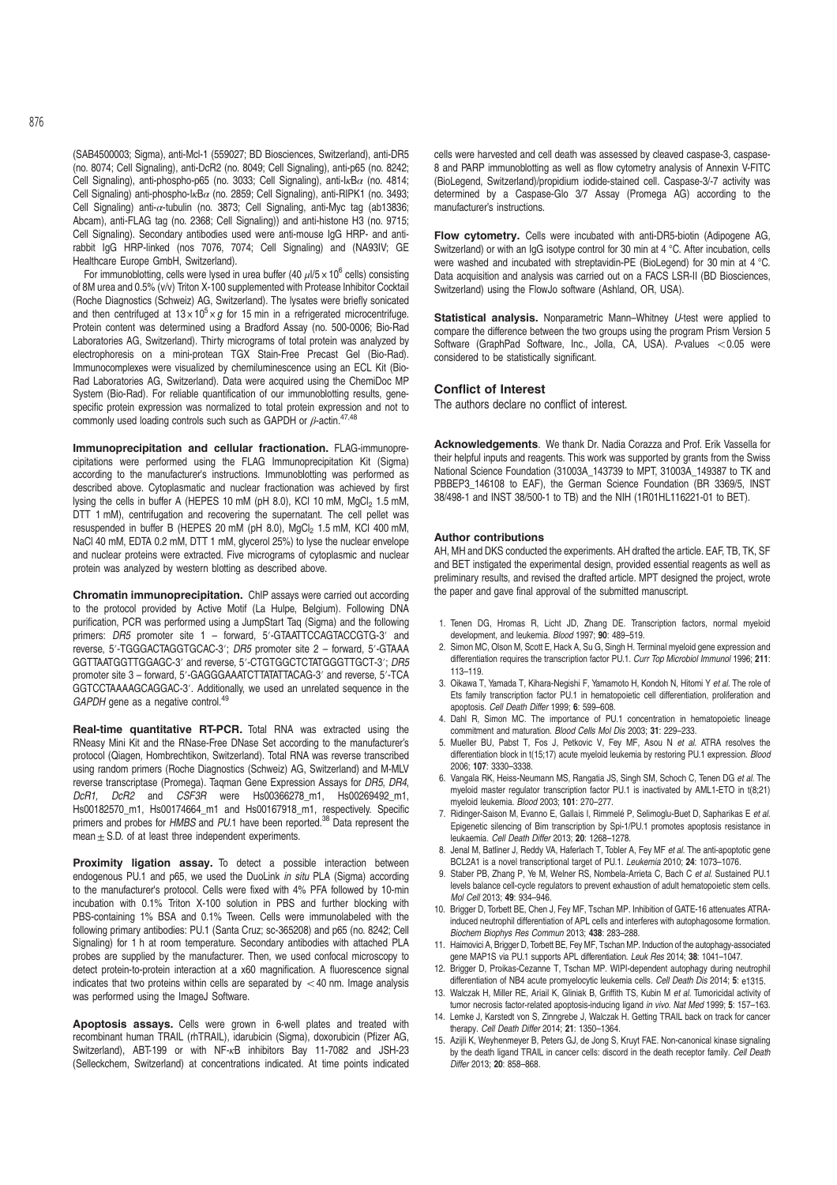(SAB4500003; Sigma), anti-Mcl-1 (559027; BD Biosciences, Switzerland), anti-DR5 (no. 8074; Cell Signaling), anti-DcR2 (no. 8049; Cell Signaling), anti-p65 (no. 8242; Cell Signaling), anti-phospho-p65 (no. 3033; Cell Signaling), anti-I<sub>K</sub>B $\alpha$  (no. 4814; Cell Signaling) anti-phospho-I<sub>k</sub>B $\alpha$  (no. 2859; Cell Signaling), anti-RIPK1 (no. 3493; Cell Signaling) anti- $\alpha$ -tubulin (no. 3873; Cell Signaling, anti-Myc tag (ab13836; Abcam), anti-FLAG tag (no. 2368; Cell Signaling)) and anti-histone H3 (no. 9715; Cell Signaling). Secondary antibodies used were anti-mouse IgG HRP- and antirabbit IgG HRP-linked (nos 7076, 7074; Cell Signaling) and (NA93IV; GE Healthcare Europe GmbH, Switzerland).

For immunoblotting, cells were lysed in urea buffer (40  $\mu$ l/5 x 10<sup>6</sup> cells) consisting of 8M urea and 0.5% (v/v) Triton X-100 supplemented with Protease Inhibitor Cocktail (Roche Diagnostics (Schweiz) AG, Switzerland). The lysates were briefly sonicated and then centrifuged at  $13 \times 10^5 \times g$  for 15 min in a refrigerated microcentrifuge. Protein content was determined using a Bradford Assay (no. 500-0006; Bio-Rad Laboratories AG, Switzerland). Thirty micrograms of total protein was analyzed by electrophoresis on a mini-protean TGX Stain-Free Precast Gel (Bio-Rad). Immunocomplexes were visualized by chemiluminescence using an ECL Kit (Bio-Rad Laboratories AG, Switzerland). Data were acquired using the ChemiDoc MP System (Bio-Rad). For reliable quantification of our immunoblotting results, genespecific protein expression was normalized to total protein expression and not to commonly used loading controls such such as GAPDH or  $\beta$ -actin.<sup>47,48</sup>

Immunoprecipitation and cellular fractionation. FLAG-immunoprecipitations were performed using the FLAG Immunoprecipitation Kit (Sigma) according to the manufacturer's instructions. Immunoblotting was performed as described above. Cytoplasmatic and nuclear fractionation was achieved by first lysing the cells in buffer A (HEPES 10 mM (pH 8.0), KCl 10 mM, MgCl<sub>2</sub> 1.5 mM, DTT 1 mM), centrifugation and recovering the supernatant. The cell pellet was resuspended in buffer B (HEPES 20 mM (pH 8.0), MgCl<sub>2</sub> 1.5 mM, KCl 400 mM, NaCl 40 mM, EDTA 0.2 mM, DTT 1 mM, glycerol 25%) to lyse the nuclear envelope and nuclear proteins were extracted. Five micrograms of cytoplasmic and nuclear protein was analyzed by western blotting as described above.

Chromatin immunoprecipitation. ChIP assays were carried out according to the protocol provided by Active Motif (La Hulpe, Belgium). Following DNA purification, PCR was performed using a JumpStart Taq (Sigma) and the following primers: DR5 promoter site 1 - forward, 5'-GTAATTCCAGTACCGTG-3' and reverse, 5′-TGGGACTAGGTGCAC-3′; DR5 promoter site 2 – forward, 5′-GTAAA GGTTAATGGTTGGAGC-3′ and reverse, 5′-CTGTGGCTCTATGGGTTGCT-3′; DR5 promoter site 3 – forward, 5′-GAGGGAAATCTTATATTACAG-3′ and reverse, 5′-TCA GGTCCTAAAAGCAGGAC-3′. Additionally, we used an unrelated sequence in the GAPDH gene as a negative control.<sup>49</sup>

Real-time quantitative RT-PCR. Total RNA was extracted using the RNeasy Mini Kit and the RNase-Free DNase Set according to the manufacturer's protocol (Qiagen, Hombrechtikon, Switzerland). Total RNA was reverse transcribed using random primers (Roche Diagnostics (Schweiz) AG, Switzerland) and M-MLV reverse transcriptase (Promega). Taqman Gene Expression Assays for DR5, DR4, DcR1, DcR2 and CSF3R were Hs00366278\_m1, Hs00269492\_m1, Hs00182570\_m1, Hs00174664\_m1 and Hs00167918\_m1, respectively. Specific primers and probes for HMBS and PU.1 have been reported.<sup>38</sup> Data represent the mean $\pm$  S.D. of at least three independent experiments.

Proximity ligation assay. To detect a possible interaction between endogenous PU.1 and p65, we used the DuoLink in situ PLA (Sigma) according to the manufacturer's protocol. Cells were fixed with 4% PFA followed by 10-min incubation with 0.1% Triton X-100 solution in PBS and further blocking with PBS-containing 1% BSA and 0.1% Tween. Cells were immunolabeled with the following primary antibodies: PU.1 (Santa Cruz; sc-365208) and p65 (no. 8242; Cell Signaling) for 1 h at room temperature. Secondary antibodies with attached PLA probes are supplied by the manufacturer. Then, we used confocal microscopy to detect protein-to-protein interaction at a x60 magnification. A fluorescence signal indicates that two proteins within cells are separated by  $<$  40 nm. Image analysis was performed using the ImageJ Software.

Apoptosis assays. Cells were grown in 6-well plates and treated with recombinant human TRAIL (rhTRAIL), idarubicin (Sigma), doxorubicin (Pfizer AG, Switzerland), ABT-199 or with NF-κB inhibitors Bay 11-7082 and JSH-23 (Selleckchem, Switzerland) at concentrations indicated. At time points indicated

cells were harvested and cell death was assessed by cleaved caspase-3, caspase-8 and PARP immunoblotting as well as flow cytometry analysis of Annexin V-FITC (BioLegend, Switzerland)/propidium iodide-stained cell. Caspase-3/-7 activity was determined by a Caspase-Glo 3/7 Assay (Promega AG) according to the manufacturer's instructions.

Flow cytometry. Cells were incubated with anti-DR5-biotin (Adipogene AG, Switzerland) or with an IgG isotype control for 30 min at 4 °C. After incubation, cells were washed and incubated with streptavidin-PE (BioLegend) for 30 min at 4 °C. Data acquisition and analysis was carried out on a FACS LSR-II (BD Biosciences, Switzerland) using the FlowJo software (Ashland, OR, USA).

Statistical analysis. Nonparametric Mann–Whitney U-test were applied to compare the difference between the two groups using the program Prism Version 5 Software (GraphPad Software, Inc., Jolla, CA, USA). P-values  $< 0.05$  were considered to be statistically significant.

## Conflict of Interest

The authors declare no conflict of interest.

Acknowledgements. We thank Dr. Nadia Corazza and Prof. Erik Vassella for their helpful inputs and reagents. This work was supported by grants from the Swiss National Science Foundation (31003A\_143739 to MPT, 31003A\_149387 to TK and PBBEP3\_146108 to EAF), the German Science Foundation (BR 3369/5, INST 38/498-1 and INST 38/500-1 to TB) and the NIH (1R01HL116221-01 to BET).

### Author contributions

AH, MH and DKS conducted the experiments. AH drafted the article. EAF, TB, TK, SF and BET instigated the experimental design, provided essential reagents as well as preliminary results, and revised the drafted article. MPT designed the project, wrote the paper and gave final approval of the submitted manuscript.

- 1. Tenen DG, Hromas R, Licht JD, Zhang DE. Transcription factors, normal myeloid development, and leukemia. Blood 1997; 90: 489–519.
- 2. Simon MC, Olson M, Scott E, Hack A, Su G, Singh H. Terminal myeloid gene expression and differentiation requires the transcription factor PU.1. Curr Top Microbiol Immunol 1996; 211: 113–119.
- 3. Oikawa T, Yamada T, Kihara-Negishi F, Yamamoto H, Kondoh N, Hitomi Y et al. The role of Ets family transcription factor PU.1 in hematopoietic cell differentiation, proliferation and apoptosis. Cell Death Differ 1999; 6: 599–608.
- 4. Dahl R, Simon MC. The importance of PU.1 concentration in hematopoietic lineage commitment and maturation. Blood Cells Mol Dis 2003; 31: 229–233.
- Mueller BU, Pabst T, Fos J, Petkovic V, Fey MF, Asou N et al. ATRA resolves the differentiation block in t(15;17) acute myeloid leukemia by restoring PU.1 expression. Blood 2006; 107: 3330–3338.
- 6. Vangala RK, Heiss-Neumann MS, Rangatia JS, Singh SM, Schoch C, Tenen DG et al. The myeloid master regulator transcription factor PU.1 is inactivated by AML1-ETO in t(8;21) myeloid leukemia. Blood 2003; 101: 270–277.
- 7. Ridinger-Saison M, Evanno E, Gallais I, Rimmelé P, Selimoglu-Buet D, Sapharikas E et al. Epigenetic silencing of Bim transcription by Spi-1/PU.1 promotes apoptosis resistance in leukaemia. Cell Death Differ 2013; 20: 1268–1278.
- 8. Jenal M, Batliner J, Reddy VA, Haferlach T, Tobler A, Fey MF et al. The anti-apoptotic gene BCL2A1 is a novel transcriptional target of PU.1. Leukemia 2010; 24: 1073–1076.
- 9. Staber PB, Zhang P, Ye M, Welner RS, Nombela-Arrieta C, Bach C et al. Sustained PU.1 levels balance cell-cycle regulators to prevent exhaustion of adult hematopoietic stem cells. Mol Cell 2013; 49: 934–946.
- 10. Brigger D, Torbett BE, Chen J, Fey MF, Tschan MP. Inhibition of GATE-16 attenuates ATRAinduced neutrophil differentiation of APL cells and interferes with autophagosome formation. Biochem Biophys Res Commun 2013; 438: 283–288.
- 11. Haimovici A, Brigger D, Torbett BE, Fey MF, Tschan MP. Induction of the autophagy-associated gene MAP1S via PU.1 supports APL differentiation. Leuk Res 2014; 38: 1041–1047.
- 12. Brigger D, Proikas-Cezanne T, Tschan MP. WIPI-dependent autophagy during neutrophil differentiation of NB4 acute promyelocytic leukemia cells. Cell Death Dis 2014; 5: e1315.
- 13. Walczak H, Miller RE, Ariail K, Gliniak B, Griffith TS, Kubin M et al. Tumoricidal activity of tumor necrosis factor-related apoptosis-inducing ligand in vivo. Nat Med 1999; 5: 157–163.
- 14. Lemke J, Karstedt von S, Zinngrebe J, Walczak H. Getting TRAIL back on track for cancer therapy. Cell Death Differ 2014; 21: 1350–1364.
- 15. Azijli K, Weyhenmeyer B, Peters GJ, de Jong S, Kruyt FAE. Non-canonical kinase signaling by the death ligand TRAIL in cancer cells: discord in the death receptor family. Cell Death Differ 2013; 20: 858–868.